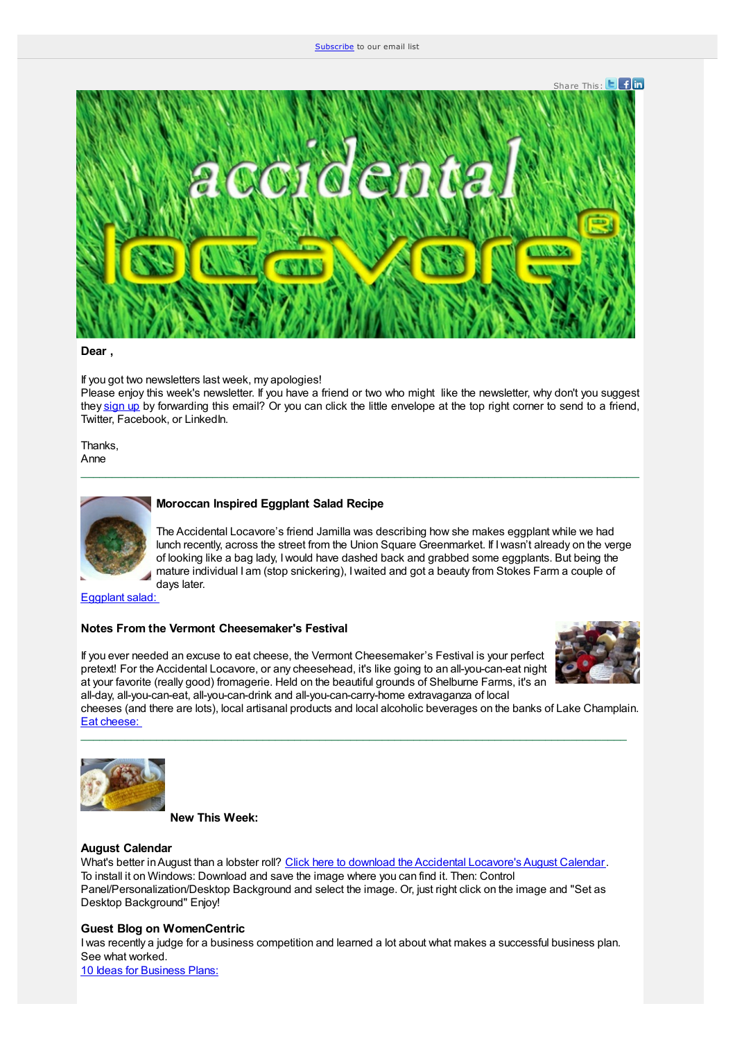#### [Subscribe](https://app.e2ma.net/app2/audience/signup/1351190/1350835/?v=a) to our email list



#### **Dear ,**

If you got two newsletters last week, my apologies!

Please enjoy this week's newsletter. If you have a friend or two who might like the newsletter, why don't you suggest they [sign](https://app.e2ma.net/app/view:Join/signupId:1351190/acctId:1350835) up by forwarding this email? Or you can click the little envelope at the top right corner to send to a friend, Twitter, Facebook, or LinkedIn.

 $\_$  . The contribution of the contribution of the contribution of the contribution of the contribution of the contribution of the contribution of the contribution of the contribution of the contribution of the contributio

Thanks, Anne



## **Moroccan Inspired Eggplant Salad Recipe**

The Accidental Locavore's friend Jamilla was describing how she makes eggplant while we had lunch recently, across the street from the Union Square Greenmarket. If Iwasn't already on the verge of looking like a bag lady, Iwould have dashed back and grabbed some eggplants. But being the mature individual I am (stop snickering), Iwaited and got a beauty from Stokes Farm a couple of days later.

[Eggplant](http://www.accidental-locavore.com/?p=2228) salad:

## **Notes From the Vermont Cheesemaker's Festival**

If you ever needed an excuse to eat cheese, the Vermont Cheesemaker's Festival is your perfect pretext! For the Accidental Locavore, or any cheesehead, it's like going to an all-you-can-eat night at your favorite (really good) fromagerie. Held on the beautiful grounds of Shelburne Farms, it's an all-day, all-you-can-eat, all-you-can-drink and all-you-can-carry-home extravaganza of local



cheeses (and there are lots), local artisanal products and local alcoholic beverages on the banks of Lake Champlain. Eat [cheese:](http://www.accidental-locavore.com/?p=2235) \_\_\_\_\_\_\_\_\_\_\_\_\_\_\_\_\_\_\_\_\_\_\_\_\_\_\_\_\_\_\_\_\_\_\_\_\_\_\_\_\_\_\_\_\_\_\_\_\_\_\_\_\_\_\_\_\_\_\_\_\_\_\_\_\_\_\_\_\_\_\_\_\_\_\_\_\_\_\_\_\_\_\_\_\_\_\_



**New This Week:**

#### **August Calendar**

What's better in August than a lobster roll? Click here to download the Accidental [Locavore's](http://www.accidental-locavore.com/where-when-how/desktop-calendar/) August Calendar. To install it on Windows: Download and save the image where you can find it. Then: Control Panel/Personalization/Desktop Background and select the image. Or, just right click on the image and "Set as Desktop Background" Enjoy!

## **Guest Blog on WomenCentric**

Iwas recently a judge for a business competition and learned a lot about what makes a successful business plan. See what worked.

10 Ideas for [Business](http://www.womencentric.net/don%E2%80%99t-teach-a-man-to-fish-and-9-other-ideas-for-business-plans/) Plans: